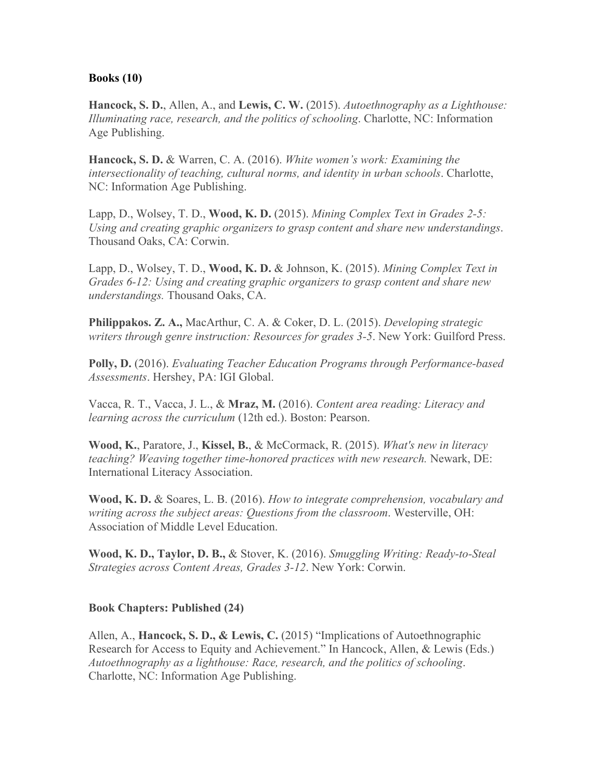## **Books (10)**

**Hancock, S. D.**, Allen, A., and **Lewis, C. W.** (2015). *Autoethnography as a Lighthouse: Illuminating race, research, and the politics of schooling*. Charlotte, NC: Information Age Publishing.

**Hancock, S. D.** & Warren, C. A. (2016). *White women's work: Examining the intersectionality of teaching, cultural norms, and identity in urban schools*. Charlotte, NC: Information Age Publishing.

Lapp, D., Wolsey, T. D., **Wood, K. D.** (2015). *Mining Complex Text in Grades 2-5: Using and creating graphic organizers to grasp content and share new understandings*. Thousand Oaks, CA: Corwin.

Lapp, D., Wolsey, T. D., **Wood, K. D.** & Johnson, K. (2015). *Mining Complex Text in Grades 6-12: Using and creating graphic organizers to grasp content and share new understandings.* Thousand Oaks, CA.

**Philippakos. Z. A.,** MacArthur, C. A. & Coker, D. L. (2015). *Developing strategic writers through genre instruction: Resources for grades 3-5*. New York: Guilford Press.

**Polly, D.** (2016). *Evaluating Teacher Education Programs through Performance-based Assessments*. Hershey, PA: IGI Global.

Vacca, R. T., Vacca, J. L., & **Mraz, M.** (2016). *Content area reading: Literacy and learning across the curriculum* (12th ed.). Boston: Pearson.

**Wood, K.**, Paratore, J., **Kissel, B.**, & McCormack, R. (2015). *What's new in literacy teaching? Weaving together time-honored practices with new research.* Newark, DE: International Literacy Association.

**Wood, K. D.** & Soares, L. B. (2016). *How to integrate comprehension, vocabulary and writing across the subject areas: Questions from the classroom*. Westerville, OH: Association of Middle Level Education.

**Wood, K. D., Taylor, D. B.,** & Stover, K. (2016). *Smuggling Writing: Ready-to-Steal Strategies across Content Areas, Grades 3-12*. New York: Corwin.

## **Book Chapters: Published (24)**

Allen, A., **Hancock, S. D., & Lewis, C.** (2015) "Implications of Autoethnographic Research for Access to Equity and Achievement." In Hancock, Allen, & Lewis (Eds.) *Autoethnography as a lighthouse: Race, research, and the politics of schooling*. Charlotte, NC: Information Age Publishing.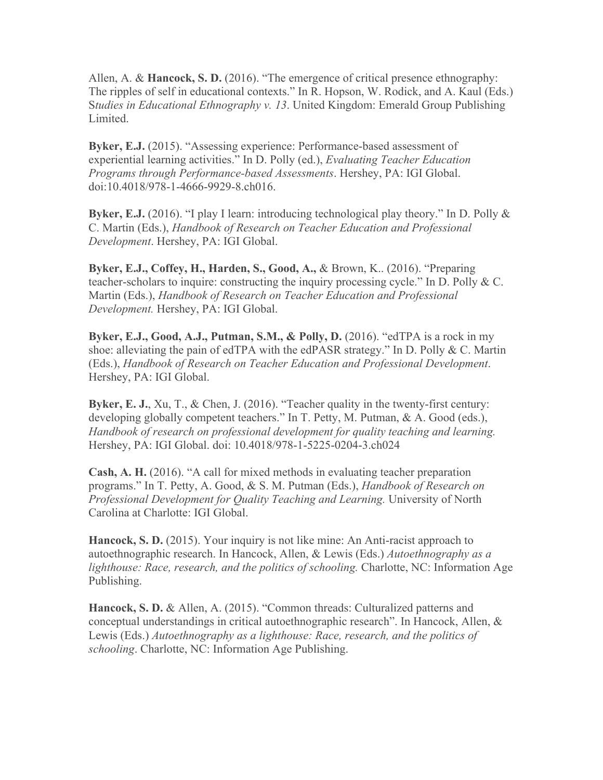Allen, A. & **Hancock, S. D.** (2016). "The emergence of critical presence ethnography: The ripples of self in educational contexts." In R. Hopson, W. Rodick, and A. Kaul (Eds.) S*tudies in Educational Ethnography v. 13*. United Kingdom: Emerald Group Publishing Limited.

**Byker, E.J.** (2015). "Assessing experience: Performance-based assessment of experiential learning activities." In D. Polly (ed.), *Evaluating Teacher Education Programs through Performance-based Assessments*. Hershey, PA: IGI Global. doi:10.4018/978-1-4666-9929-8.ch016.

**Byker, E.J.** (2016). "I play I learn: introducing technological play theory." In D. Polly & C. Martin (Eds.), *Handbook of Research on Teacher Education and Professional Development*. Hershey, PA: IGI Global.

**Byker, E.J., Coffey, H., Harden, S., Good, A.,** & Brown, K.. (2016). "Preparing teacher-scholars to inquire: constructing the inquiry processing cycle." In D. Polly & C. Martin (Eds.), *Handbook of Research on Teacher Education and Professional Development.* Hershey, PA: IGI Global.

**Byker, E.J., Good, A.J., Putman, S.M., & Polly, D.** (2016). "edTPA is a rock in my shoe: alleviating the pain of edTPA with the edPASR strategy." In D. Polly & C. Martin (Eds.), *Handbook of Research on Teacher Education and Professional Development*. Hershey, PA: IGI Global.

**Byker, E. J.**, Xu, T., & Chen, J. (2016). "Teacher quality in the twenty-first century: developing globally competent teachers." In T. Petty, M. Putman, & A. Good (eds.), *Handbook of research on professional development for quality teaching and learning.*  Hershey, PA: IGI Global. doi: 10.4018/978-1-5225-0204-3.ch024

**Cash, A. H.** (2016). "A call for mixed methods in evaluating teacher preparation programs." In T. Petty, A. Good, & S. M. Putman (Eds.), *Handbook of Research on Professional Development for Quality Teaching and Learning.* University of North Carolina at Charlotte: IGI Global.

**Hancock, S. D.** (2015). Your inquiry is not like mine: An Anti-racist approach to autoethnographic research. In Hancock, Allen, & Lewis (Eds.) *Autoethnography as a lighthouse: Race, research, and the politics of schooling.* Charlotte, NC: Information Age Publishing.

**Hancock, S. D.** & Allen, A. (2015). "Common threads: Culturalized patterns and conceptual understandings in critical autoethnographic research". In Hancock, Allen, & Lewis (Eds.) *Autoethnography as a lighthouse: Race, research, and the politics of schooling*. Charlotte, NC: Information Age Publishing.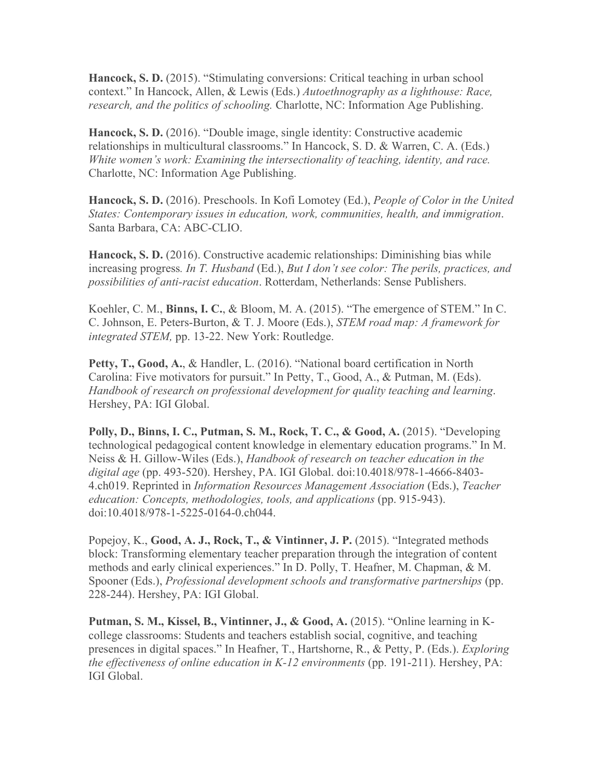**Hancock, S. D.** (2015). "Stimulating conversions: Critical teaching in urban school context." In Hancock, Allen, & Lewis (Eds.) *Autoethnography as a lighthouse: Race, research, and the politics of schooling.* Charlotte, NC: Information Age Publishing.

**Hancock, S. D.** (2016). "Double image, single identity: Constructive academic relationships in multicultural classrooms." In Hancock, S. D. & Warren, C. A. (Eds.) *White women's work: Examining the intersectionality of teaching, identity, and race.* Charlotte, NC: Information Age Publishing.

**Hancock, S. D.** (2016). Preschools. In Kofi Lomotey (Ed.), *People of Color in the United States: Contemporary issues in education, work, communities, health, and immigration*. Santa Barbara, CA: ABC-CLIO.

**Hancock, S. D.** (2016). Constructive academic relationships: Diminishing bias while increasing progress*. In T. Husband* (Ed.), *But I don't see color: The perils, practices, and possibilities of anti-racist education*. Rotterdam, Netherlands: Sense Publishers.

Koehler, C. M., **Binns, I. C.**, & Bloom, M. A. (2015). "The emergence of STEM." In C. C. Johnson, E. Peters-Burton, & T. J. Moore (Eds.), *STEM road map: A framework for integrated STEM,* pp. 13-22. New York: Routledge.

**Petty, T., Good, A.**, & Handler, L. (2016). "National board certification in North Carolina: Five motivators for pursuit." In Petty, T., Good, A., & Putman, M. (Eds). *Handbook of research on professional development for quality teaching and learning*. Hershey, PA: IGI Global.

**Polly, D., Binns, I. C., Putman, S. M., Rock, T. C., & Good, A.** (2015). "Developing technological pedagogical content knowledge in elementary education programs." In M. Neiss & H. Gillow-Wiles (Eds.), *Handbook of research on teacher education in the digital age* (pp. 493-520). Hershey, PA. IGI Global. doi:10.4018/978-1-4666-8403- 4.ch019. Reprinted in *Information Resources Management Association* (Eds.), *Teacher education: Concepts, methodologies, tools, and applications (pp. 915-943).* doi:10.4018/978-1-5225-0164-0.ch044.

Popejoy, K., **Good, A. J., Rock, T., & Vintinner, J. P.** (2015). "Integrated methods block: Transforming elementary teacher preparation through the integration of content methods and early clinical experiences." In D. Polly, T. Heafner, M. Chapman, & M. Spooner (Eds.), *Professional development schools and transformative partnerships* (pp. 228-244). Hershey, PA: IGI Global.

**Putman, S. M., Kissel, B., Vintinner, J., & Good, A.** (2015). "Online learning in Kcollege classrooms: Students and teachers establish social, cognitive, and teaching presences in digital spaces." In Heafner, T., Hartshorne, R., & Petty, P. (Eds.). *Exploring the effectiveness of online education in K-12 environments* (pp. 191-211). Hershey, PA: IGI Global.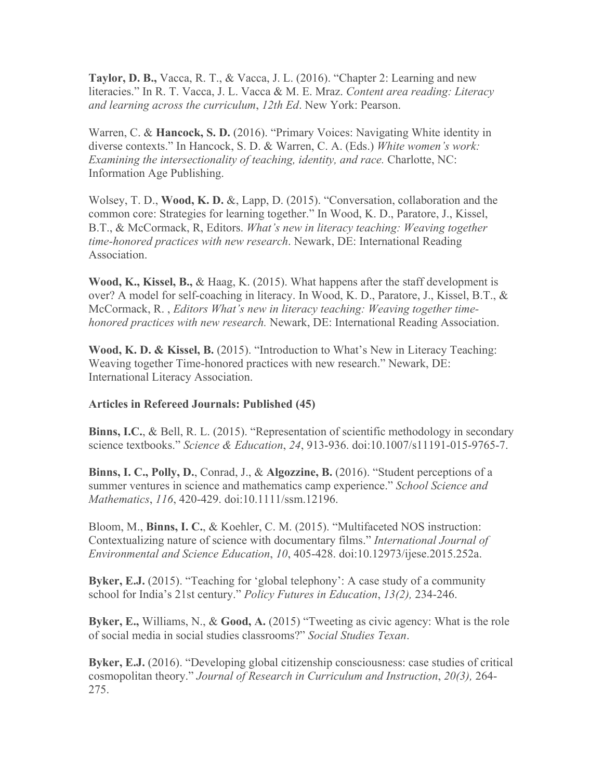**Taylor, D. B.,** Vacca, R. T., & Vacca, J. L. (2016). "Chapter 2: Learning and new literacies." In R. T. Vacca, J. L. Vacca & M. E. Mraz. *Content area reading: Literacy and learning across the curriculum*, *12th Ed*. New York: Pearson.

Warren, C. & **Hancock, S. D.** (2016). "Primary Voices: Navigating White identity in diverse contexts." In Hancock, S. D. & Warren, C. A. (Eds.) *White women's work: Examining the intersectionality of teaching, identity, and race.* Charlotte, NC: Information Age Publishing.

Wolsey, T. D., **Wood, K. D.** &, Lapp, D. (2015). "Conversation, collaboration and the common core: Strategies for learning together." In Wood, K. D., Paratore, J., Kissel, B.T., & McCormack, R, Editors. *What's new in literacy teaching: Weaving together time-honored practices with new research*. Newark, DE: International Reading Association.

**Wood, K., Kissel, B.,** & Haag, K. (2015). What happens after the staff development is over? A model for self-coaching in literacy. In Wood, K. D., Paratore, J., Kissel, B.T., & McCormack, R. , *Editors What's new in literacy teaching: Weaving together timehonored practices with new research.* Newark, DE: International Reading Association.

**Wood, K. D. & Kissel, B.** (2015). "Introduction to What's New in Literacy Teaching: Weaving together Time-honored practices with new research." Newark, DE: International Literacy Association.

## **Articles in Refereed Journals: Published (45)**

**Binns, I.C.**, & Bell, R. L. (2015). "Representation of scientific methodology in secondary science textbooks." *Science & Education*, *24*, 913-936. doi:10.1007/s11191-015-9765-7.

**Binns, I. C., Polly, D.**, Conrad, J., & **Algozzine, B.** (2016). "Student perceptions of a summer ventures in science and mathematics camp experience." *School Science and Mathematics*, *116*, 420-429. doi:10.1111/ssm.12196.

Bloom, M., **Binns, I. C.**, & Koehler, C. M. (2015). "Multifaceted NOS instruction: Contextualizing nature of science with documentary films." *International Journal of Environmental and Science Education*, *10*, 405-428. doi:10.12973/ijese.2015.252a.

**Byker, E.J.** (2015). "Teaching for 'global telephony': A case study of a community school for India's 21st century." *Policy Futures in Education*, *13(2),* 234-246.

**Byker, E.,** Williams, N., & **Good, A.** (2015) "Tweeting as civic agency: What is the role of social media in social studies classrooms?" *Social Studies Texan*.

**Byker, E.J.** (2016). "Developing global citizenship consciousness: case studies of critical cosmopolitan theory." *Journal of Research in Curriculum and Instruction*, *20(3),* 264- 275.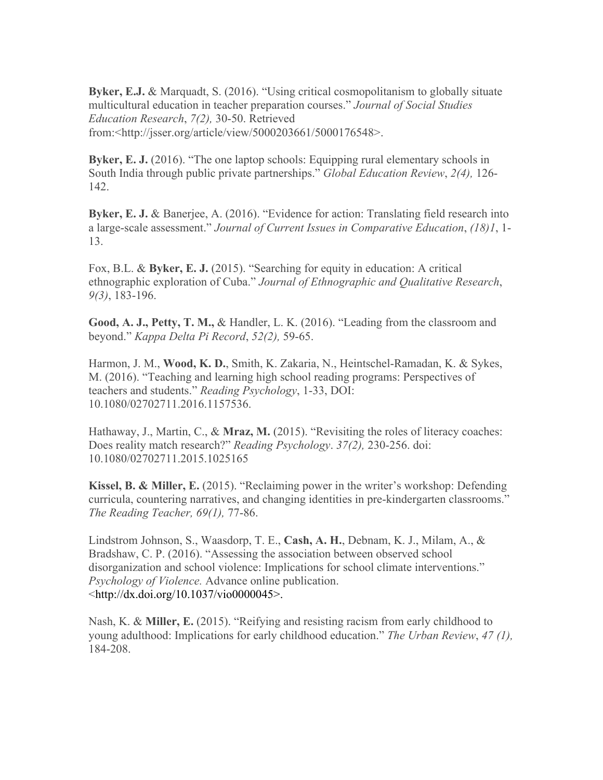**Byker, E.J.** & Marquadt, S. (2016). "Using critical cosmopolitanism to globally situate multicultural education in teacher preparation courses." *Journal of Social Studies Education Research*, *7(2),* 30-50. Retrieved from:<http://jsser.org/article/view/5000203661/5000176548>.

**Byker, E. J.** (2016). "The one laptop schools: Equipping rural elementary schools in South India through public private partnerships." *Global Education Review*, *2(4),* 126- 142.

**Byker, E. J. & Banerjee, A. (2016). "Evidence for action: Translating field research into** a large-scale assessment." *Journal of Current Issues in Comparative Education*, *(18)1*, 1- 13.

Fox, B.L. & **Byker, E. J.** (2015). "Searching for equity in education: A critical ethnographic exploration of Cuba." *Journal of Ethnographic and Qualitative Research*, *9(3)*, 183-196.

**Good, A. J., Petty, T. M.,** & Handler, L. K. (2016). "Leading from the classroom and beyond." *Kappa Delta Pi Record*, *52(2),* 59-65.

Harmon, J. M., **Wood, K. D.**, Smith, K. Zakaria, N., Heintschel-Ramadan, K. & Sykes, M. (2016). "Teaching and learning high school reading programs: Perspectives of teachers and students." *Reading Psychology*, 1-33, DOI: 10.1080/02702711.2016.1157536.

Hathaway, J., Martin, C., & **Mraz, M.** (2015). "Revisiting the roles of literacy coaches: Does reality match research?" *Reading Psychology*. *37(2),* 230-256. doi: 10.1080/02702711.2015.1025165

**Kissel, B. & Miller, E.** (2015). "Reclaiming power in the writer's workshop: Defending curricula, countering narratives, and changing identities in pre-kindergarten classrooms." *The Reading Teacher, 69(1),* 77-86.

Lindstrom Johnson, S., Waasdorp, T. E., **Cash, A. H.**, Debnam, K. J., Milam, A., & Bradshaw, C. P. (2016). "Assessing the association between observed school disorganization and school violence: Implications for school climate interventions." *Psychology of Violence.* Advance online publication. <[http://dx.doi.org/10.1037/vio0000045>](http://dx.doi.org/10.1037/vio0000045).

Nash, K. & **Miller, E.** (2015). "Reifying and resisting racism from early childhood to young adulthood: Implications for early childhood education." *The Urban Review*, *47 (1),* 184-208.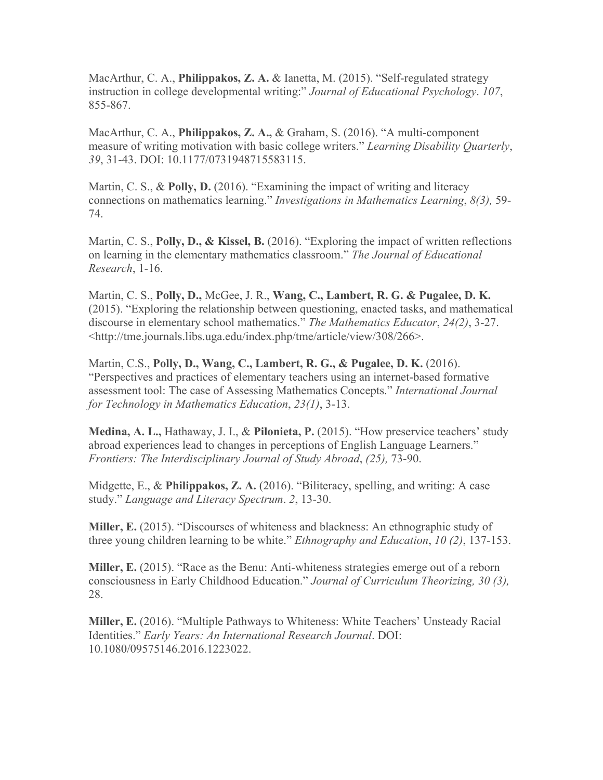MacArthur, C. A., **Philippakos, Z. A.** & Ianetta, M. (2015). "Self-regulated strategy instruction in college developmental writing:" *Journal of Educational Psychology*. *107*, 855-867.

MacArthur, C. A., **Philippakos, Z. A.,** & Graham, S. (2016). "A multi-component measure of writing motivation with basic college writers." *Learning Disability Quarterly*, *39*, 31-43. DOI: 10.1177/0731948715583115.

Martin, C. S., & **Polly, D.** (2016). "Examining the impact of writing and literacy connections on mathematics learning." *Investigations in Mathematics Learning*, *8(3),* 59- 74.

Martin, C. S., **Polly, D., & Kissel, B.** (2016). "Exploring the impact of written reflections on learning in the elementary mathematics classroom." *The Journal of Educational Research*, 1-16.

Martin, C. S., **Polly, D.,** McGee, J. R., **Wang, C., Lambert, R. G. & Pugalee, D. K.** (2015). "Exploring the relationship between questioning, enacted tasks, and mathematical discourse in elementary school mathematics." *The Mathematics Educator*, *24(2)*, 3-27. <http://tme.journals.libs.uga.edu/index.php/tme/article/view/308/266>.

Martin, C.S., **Polly, D., Wang, C., Lambert, R. G., & Pugalee, D. K.** (2016). "Perspectives and practices of elementary teachers using an internet-based formative assessment tool: The case of Assessing Mathematics Concepts." *International Journal for Technology in Mathematics Education*, *23(1)*, 3-13.

**Medina, A. L.,** Hathaway, J. I., & **Pilonieta, P.** (2015). "How preservice teachers' study abroad experiences lead to changes in perceptions of English Language Learners." *Frontiers: The Interdisciplinary Journal of Study Abroad*, *(25),* 73-90.

Midgette, E., & **Philippakos, Z. A.** (2016). "Biliteracy, spelling, and writing: A case study." *Language and Literacy Spectrum*. *2*, 13-30.

**Miller, E.** (2015). "Discourses of whiteness and blackness: An ethnographic study of three young children learning to be white." *Ethnography and Education*, *10 (2)*, 137-153.

**Miller, E.** (2015). "Race as the Benu: Anti-whiteness strategies emerge out of a reborn consciousness in Early Childhood Education." *Journal of Curriculum Theorizing, 30 (3),* 28.

**Miller, E.** (2016). "Multiple Pathways to Whiteness: White Teachers' Unsteady Racial Identities." *Early Years: An International Research Journal*. DOI: 10.1080/09575146.2016.1223022.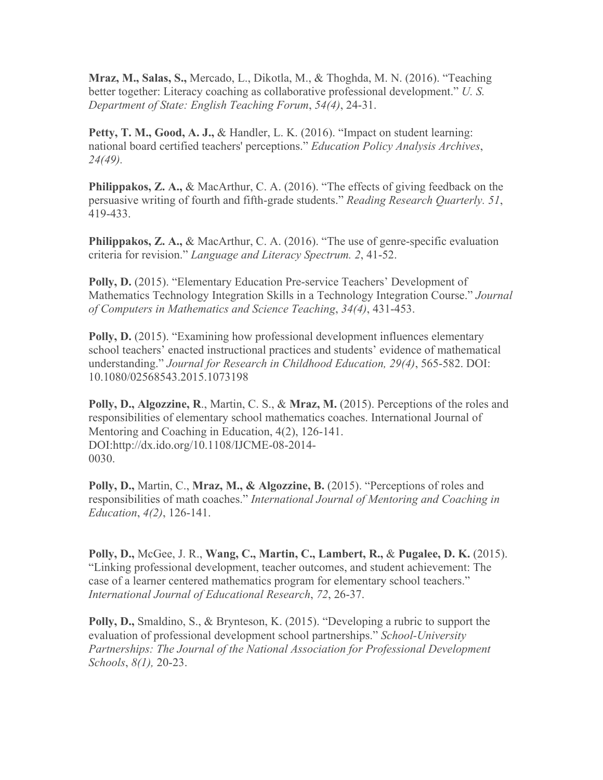**Mraz, M., Salas, S.,** Mercado, L., Dikotla, M., & Thoghda, M. N. (2016). "Teaching better together: Literacy coaching as collaborative professional development." *U. S. Department of State: English Teaching Forum*, *54(4)*, 24-31.

**Petty, T. M., Good, A. J.,** & Handler, L. K. (2016). "Impact on student learning: national board certified teachers' perceptions." *Education Policy Analysis Archives*, *24(49).*

**Philippakos, Z. A.,** & MacArthur, C. A. (2016). "The effects of giving feedback on the persuasive writing of fourth and fifth-grade students." *Reading Research Quarterly. <sup>51</sup>*, 419-433.

**Philippakos, Z. A., & MacArthur, C. A. (2016). "The use of genre-specific evaluation** criteria for revision." *Language and Literacy Spectrum. 2*, 41-52.

**Polly, D.** (2015). "Elementary Education Pre-service Teachers' Development of Mathematics Technology Integration Skills in a Technology Integration Course." *Journal of Computers in Mathematics and Science Teaching*, *34(4)*, 431-453.

**Polly, D.** (2015). "Examining how professional development influences elementary school teachers' enacted instructional practices and students' evidence of mathematical understanding." *Journal for Research in Childhood Education, 29(4)*, 565-582. DOI: 10.1080/02568543.2015.1073198

**Polly, D., Algozzine, R**., Martin, C. S., & **Mraz, M.** (2015). Perceptions of the roles and responsibilities of elementary school mathematics coaches. International Journal of Mentoring and Coaching in Education, 4(2), 126-141. DOI:http://dx.ido.org/10.1108/IJCME-08-2014- 0030.

**Polly, D.,** Martin, C., **Mraz, M., & Algozzine, B.** (2015). "Perceptions of roles and responsibilities of math coaches." *International Journal of Mentoring and Coaching in Education*, *4(2)*, 126-141.

**Polly, D.,** McGee, J. R., **Wang, C., Martin, C., Lambert, R.,** & **Pugalee, D. K.** (2015). "Linking professional development, teacher outcomes, and student achievement: The case of a learner centered mathematics program for elementary school teachers." *International Journal of Educational Research*, *72*, 26-37.

**Polly, D.,** Smaldino, S., & Brynteson, K. (2015). "Developing a rubric to support the evaluation of professional development school partnerships." *School-University Partnerships: The Journal of the National Association for Professional Development Schools*, *8(1),* 20-23.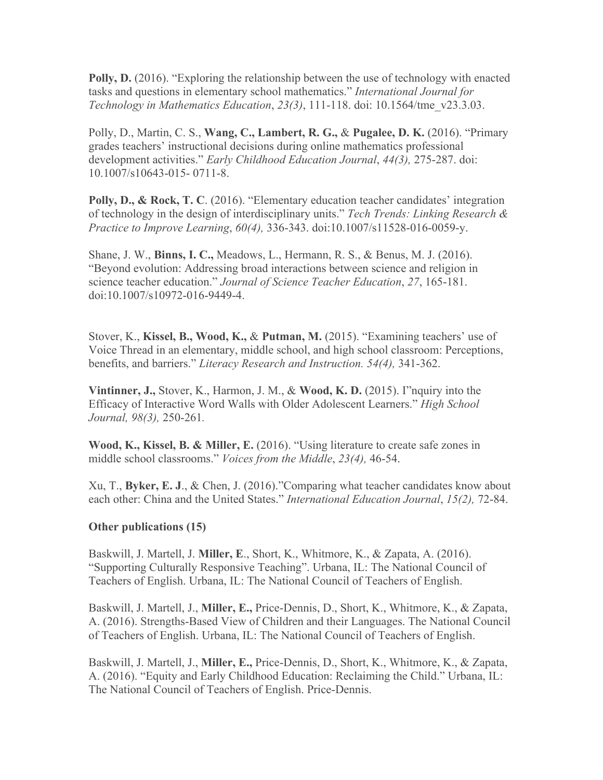**Polly, D.** (2016). "Exploring the relationship between the use of technology with enacted tasks and questions in elementary school mathematics." *International Journal for Technology in Mathematics Education*, *23(3)*, 111-118. doi: 10.1564/tme\_v23.3.03.

Polly, D., Martin, C. S., **Wang, C., Lambert, R. G.,** & **Pugalee, D. K.** (2016). "Primary grades teachers' instructional decisions during online mathematics professional development activities." *Early Childhood Education Journal*, *44(3),* 275-287. doi: 10.1007/s10643-015- 0711-8.

**Polly, D., & Rock, T. C**. (2016). "Elementary education teacher candidates' integration of technology in the design of interdisciplinary units." *Tech Trends: Linking Research & Practice to Improve Learning*, *60(4),* 336-343. doi:10.1007/s11528-016-0059-y.

Shane, J. W., **Binns, I. C.,** Meadows, L., Hermann, R. S., & Benus, M. J. (2016). "Beyond evolution: Addressing broad interactions between science and religion in science teacher education." *Journal of Science Teacher Education*, *27*, 165-181. doi:10.1007/s10972-016-9449-4.

Stover, K., **Kissel, B., Wood, K.,** & **Putman, M.** (2015). "Examining teachers' use of Voice Thread in an elementary, middle school, and high school classroom: Perceptions, benefits, and barriers." *Literacy Research and Instruction. 54(4),* 341-362.

**Vintinner, J.,** Stover, K., Harmon, J. M., & **Wood, K. D.** (2015). I"nquiry into the Efficacy of Interactive Word Walls with Older Adolescent Learners." *High School Journal, 98(3),* 250-261*.*

**Wood, K., Kissel, B. & Miller, E.** (2016). "Using literature to create safe zones in middle school classrooms." *Voices from the Middle*, *23(4),* 46-54.

Xu, T., **Byker, E. J**., & Chen, J. (2016)."Comparing what teacher candidates know about each other: China and the United States." *International Education Journal*, *15(2),* 72-84.

## **Other publications (15)**

Baskwill, J. Martell, J. **Miller, E**., Short, K., Whitmore, K., & Zapata, A. (2016). "Supporting Culturally Responsive Teaching". Urbana, IL: The National Council of Teachers of English. Urbana, IL: The National Council of Teachers of English.

Baskwill, J. Martell, J., **Miller, E.,** Price-Dennis, D., Short, K., Whitmore, K., & Zapata, A. (2016). Strengths-Based View of Children and their Languages. The National Council of Teachers of English. Urbana, IL: The National Council of Teachers of English.

Baskwill, J. Martell, J., **Miller, E.,** Price-Dennis, D., Short, K., Whitmore, K., & Zapata, A. (2016). "Equity and Early Childhood Education: Reclaiming the Child." Urbana, IL: The National Council of Teachers of English. Price-Dennis.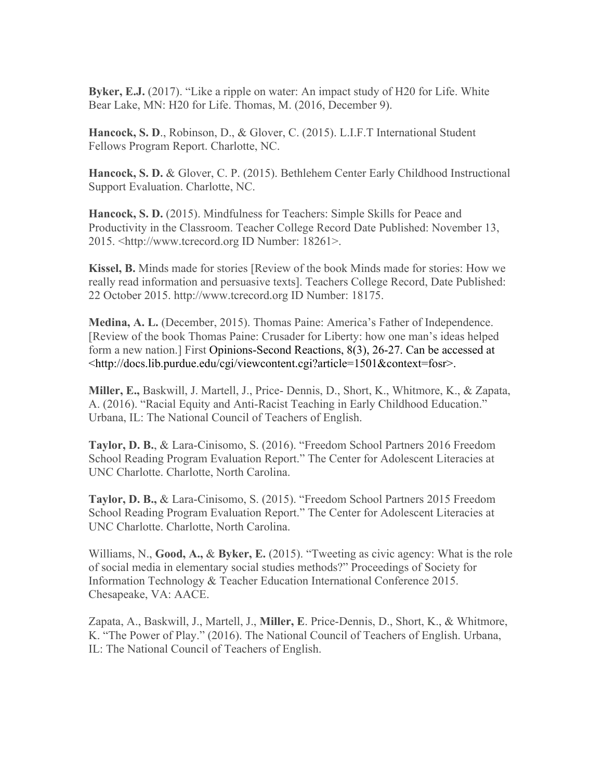**Byker, E.J.** (2017). "Like a ripple on water: An impact study of H20 for Life. White Bear Lake, MN: H20 for Life. Thomas, M. (2016, December 9).

**Hancock, S. D**., Robinson, D., & Glover, C. (2015). L.I.F.T International Student Fellows Program Report. Charlotte, NC.

**Hancock, S. D.** & Glover, C. P. (2015). Bethlehem Center Early Childhood Instructional Support Evaluation. Charlotte, NC.

**Hancock, S. D.** (2015). Mindfulness for Teachers: Simple Skills for Peace and Productivity in the Classroom. Teacher College Record Date Published: November 13, 2015. <http://www.tcrecord.org ID Number: 18261>.

**Kissel, B.** Minds made for stories [Review of the book Minds made for stories: How we really read information and persuasive texts]. Teachers College Record, Date Published: 22 October 2015. http://www.tcrecord.org ID Number: 18175.

**Medina, A. L.** (December, 2015). Thomas Paine: America's Father of Independence. [Review of the book Thomas Paine: Crusader for Liberty: how one man's ideas helped form a new nation.] First Opinions-Second Reactions, 8(3), 26-27. Can be accessed at <[http://docs.lib.purdue.edu/cgi/viewcontent.cgi?article=1501&context=fosr>](http://docs.lib.purdue.edu/cgi/viewcontent.cgi?article=1501&context=fosr).

**Miller, E.,** Baskwill, J. Martell, J., Price- Dennis, D., Short, K., Whitmore, K., & Zapata, A. (2016). "Racial Equity and Anti-Racist Teaching in Early Childhood Education." Urbana, IL: The National Council of Teachers of English.

**Taylor, D. B.**, & Lara-Cinisomo, S. (2016). "Freedom School Partners 2016 Freedom School Reading Program Evaluation Report." The Center for Adolescent Literacies at UNC Charlotte. Charlotte, North Carolina.

**Taylor, D. B.,** & Lara-Cinisomo, S. (2015). "Freedom School Partners 2015 Freedom School Reading Program Evaluation Report." The Center for Adolescent Literacies at UNC Charlotte. Charlotte, North Carolina.

Williams, N., **Good, A.,** & **Byker, E.** (2015). "Tweeting as civic agency: What is the role of social media in elementary social studies methods?" Proceedings of Society for Information Technology & Teacher Education International Conference 2015. Chesapeake, VA: AACE.

Zapata, A., Baskwill, J., Martell, J., **Miller, E**. Price-Dennis, D., Short, K., & Whitmore, K. "The Power of Play." (2016). The National Council of Teachers of English. Urbana, IL: The National Council of Teachers of English.